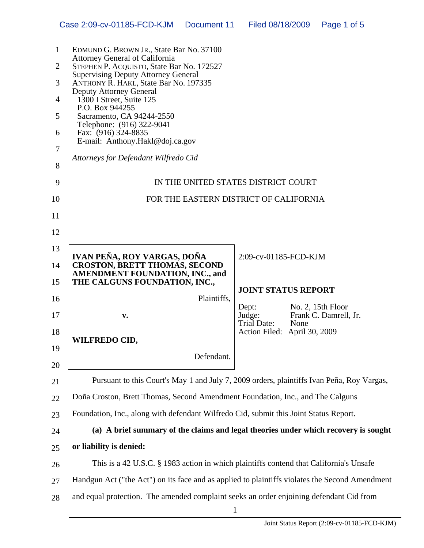|                                                              | Case 2:09-cv-01185-FCD-KJM Document 11                                                                                                                                                                                                                                                                                                                                                                                                                             |                                                                                       | Filed 08/18/2009             |      | Page 1 of 5                                 |  |  |
|--------------------------------------------------------------|--------------------------------------------------------------------------------------------------------------------------------------------------------------------------------------------------------------------------------------------------------------------------------------------------------------------------------------------------------------------------------------------------------------------------------------------------------------------|---------------------------------------------------------------------------------------|------------------------------|------|---------------------------------------------|--|--|
| $\mathbf{1}$<br>$\overline{2}$<br>3<br>4<br>5<br>6<br>7<br>8 | EDMUND G. BROWN JR., State Bar No. 37100<br><b>Attorney General of California</b><br>STEPHEN P. ACQUISTO, State Bar No. 172527<br><b>Supervising Deputy Attorney General</b><br>ANTHONY R. HAKL, State Bar No. 197335<br><b>Deputy Attorney General</b><br>1300 I Street, Suite 125<br>P.O. Box 944255<br>Sacramento, CA 94244-2550<br>Telephone: (916) 322-9041<br>Fax: (916) 324-8835<br>E-mail: Anthony.Hakl@doj.ca.gov<br>Attorneys for Defendant Wilfredo Cid |                                                                                       |                              |      |                                             |  |  |
| 9                                                            | IN THE UNITED STATES DISTRICT COURT                                                                                                                                                                                                                                                                                                                                                                                                                                |                                                                                       |                              |      |                                             |  |  |
| 10                                                           | FOR THE EASTERN DISTRICT OF CALIFORNIA                                                                                                                                                                                                                                                                                                                                                                                                                             |                                                                                       |                              |      |                                             |  |  |
| 11                                                           |                                                                                                                                                                                                                                                                                                                                                                                                                                                                    |                                                                                       |                              |      |                                             |  |  |
| 12                                                           |                                                                                                                                                                                                                                                                                                                                                                                                                                                                    |                                                                                       |                              |      |                                             |  |  |
| 13                                                           | IVAN PEÑA, ROY VARGAS, DOÑA                                                                                                                                                                                                                                                                                                                                                                                                                                        |                                                                                       | 2:09-cv-01185-FCD-KJM        |      |                                             |  |  |
| 14                                                           | <b>CROSTON, BRETT THOMAS, SECOND</b><br><b>AMENDMENT FOUNDATION, INC., and</b>                                                                                                                                                                                                                                                                                                                                                                                     |                                                                                       |                              |      |                                             |  |  |
| 15                                                           | THE CALGUNS FOUNDATION, INC.,                                                                                                                                                                                                                                                                                                                                                                                                                                      |                                                                                       | <b>JOINT STATUS REPORT</b>   |      |                                             |  |  |
| 16                                                           |                                                                                                                                                                                                                                                                                                                                                                                                                                                                    | Plaintiffs,                                                                           | Dept:                        |      | No. 2, $15$ th Floor                        |  |  |
| 17                                                           | V.                                                                                                                                                                                                                                                                                                                                                                                                                                                                 |                                                                                       | Judge:<br>Trial Date:        | None | Frank C. Damrell, Jr.                       |  |  |
| 18                                                           | <b>WILFREDO CID,</b>                                                                                                                                                                                                                                                                                                                                                                                                                                               |                                                                                       | Action Filed: April 30, 2009 |      |                                             |  |  |
| 19                                                           |                                                                                                                                                                                                                                                                                                                                                                                                                                                                    | Defendant.                                                                            |                              |      |                                             |  |  |
| 20                                                           |                                                                                                                                                                                                                                                                                                                                                                                                                                                                    |                                                                                       |                              |      |                                             |  |  |
| 21                                                           | Pursuant to this Court's May 1 and July 7, 2009 orders, plaintiffs Ivan Peña, Roy Vargas,                                                                                                                                                                                                                                                                                                                                                                          |                                                                                       |                              |      |                                             |  |  |
| 22                                                           | Doña Croston, Brett Thomas, Second Amendment Foundation, Inc., and The Calguns                                                                                                                                                                                                                                                                                                                                                                                     |                                                                                       |                              |      |                                             |  |  |
| 23                                                           |                                                                                                                                                                                                                                                                                                                                                                                                                                                                    | Foundation, Inc., along with defendant Wilfredo Cid, submit this Joint Status Report. |                              |      |                                             |  |  |
| 24                                                           |                                                                                                                                                                                                                                                                                                                                                                                                                                                                    | (a) A brief summary of the claims and legal theories under which recovery is sought   |                              |      |                                             |  |  |
| 25                                                           | or liability is denied:                                                                                                                                                                                                                                                                                                                                                                                                                                            |                                                                                       |                              |      |                                             |  |  |
| 26                                                           | This is a 42 U.S.C. § 1983 action in which plaintiffs contend that California's Unsafe                                                                                                                                                                                                                                                                                                                                                                             |                                                                                       |                              |      |                                             |  |  |
| 27                                                           | Handgun Act ("the Act") on its face and as applied to plaintiffs violates the Second Amendment                                                                                                                                                                                                                                                                                                                                                                     |                                                                                       |                              |      |                                             |  |  |
| 28                                                           | and equal protection. The amended complaint seeks an order enjoining defendant Cid from<br>$\mathbf{1}$                                                                                                                                                                                                                                                                                                                                                            |                                                                                       |                              |      |                                             |  |  |
|                                                              |                                                                                                                                                                                                                                                                                                                                                                                                                                                                    |                                                                                       |                              |      | Joint Status Report (2:09-cv-01185-FCD-KJM) |  |  |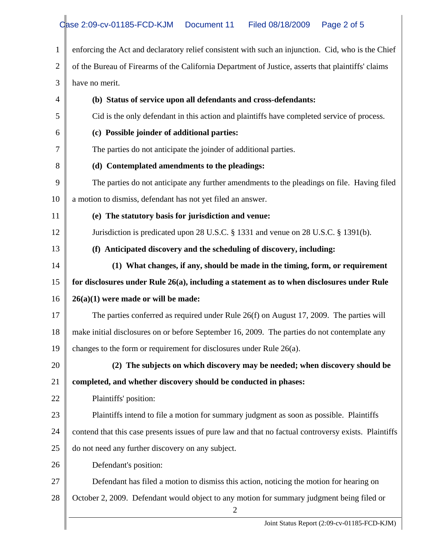| $\mathbf{1}$   | enforcing the Act and declaratory relief consistent with such an injunction. Cid, who is the Chief          |  |  |  |  |  |
|----------------|-------------------------------------------------------------------------------------------------------------|--|--|--|--|--|
| $\overline{2}$ | of the Bureau of Firearms of the California Department of Justice, asserts that plaintiffs' claims          |  |  |  |  |  |
| 3              | have no merit.                                                                                              |  |  |  |  |  |
| 4              | (b) Status of service upon all defendants and cross-defendants:                                             |  |  |  |  |  |
| 5              | Cid is the only defendant in this action and plaintiffs have completed service of process.                  |  |  |  |  |  |
| 6              | (c) Possible joinder of additional parties:                                                                 |  |  |  |  |  |
| 7              | The parties do not anticipate the joinder of additional parties.                                            |  |  |  |  |  |
| 8              | (d) Contemplated amendments to the pleadings:                                                               |  |  |  |  |  |
| 9              | The parties do not anticipate any further amendments to the pleadings on file. Having filed                 |  |  |  |  |  |
| 10             | a motion to dismiss, defendant has not yet filed an answer.                                                 |  |  |  |  |  |
| 11             | (e) The statutory basis for jurisdiction and venue:                                                         |  |  |  |  |  |
| 12             | Jurisdiction is predicated upon 28 U.S.C. § 1331 and venue on 28 U.S.C. § 1391(b).                          |  |  |  |  |  |
| 13             | (f) Anticipated discovery and the scheduling of discovery, including:                                       |  |  |  |  |  |
| 14             | (1) What changes, if any, should be made in the timing, form, or requirement                                |  |  |  |  |  |
| 15             | for disclosures under Rule $26(a)$ , including a statement as to when disclosures under Rule                |  |  |  |  |  |
| 16             | $26(a)(1)$ were made or will be made:                                                                       |  |  |  |  |  |
| 17             | The parties conferred as required under Rule 26(f) on August 17, 2009. The parties will                     |  |  |  |  |  |
| 18             | make initial disclosures on or before September 16, 2009. The parties do not contemplate any                |  |  |  |  |  |
| 19             | changes to the form or requirement for disclosures under Rule $26(a)$ .                                     |  |  |  |  |  |
| 20             | (2) The subjects on which discovery may be needed; when discovery should be                                 |  |  |  |  |  |
| 21             | completed, and whether discovery should be conducted in phases:                                             |  |  |  |  |  |
| 22             | Plaintiffs' position:                                                                                       |  |  |  |  |  |
| 23             | Plaintiffs intend to file a motion for summary judgment as soon as possible. Plaintiffs                     |  |  |  |  |  |
| 24             | contend that this case presents issues of pure law and that no factual controversy exists. Plaintiffs       |  |  |  |  |  |
| 25             | do not need any further discovery on any subject.                                                           |  |  |  |  |  |
| 26             | Defendant's position:                                                                                       |  |  |  |  |  |
| 27             | Defendant has filed a motion to dismiss this action, noticing the motion for hearing on                     |  |  |  |  |  |
| 28             | October 2, 2009. Defendant would object to any motion for summary judgment being filed or<br>$\overline{2}$ |  |  |  |  |  |
|                | Joint Status Report (2:09-cv-01185-FCD-KJM)                                                                 |  |  |  |  |  |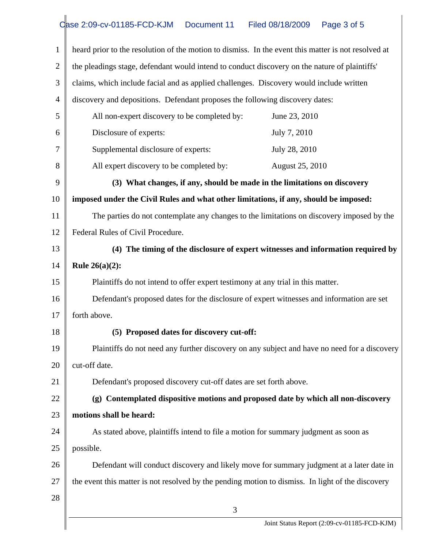## Case 2:09-cv-01185-FCD-KJM Document 11 Filed 08/18/2009 Page 3 of 5

| 1              | heard prior to the resolution of the motion to dismiss. In the event this matter is not resolved at |  |  |  |
|----------------|-----------------------------------------------------------------------------------------------------|--|--|--|
| $\overline{2}$ | the pleadings stage, defendant would intend to conduct discovery on the nature of plaintiffs'       |  |  |  |
| 3              | claims, which include facial and as applied challenges. Discovery would include written             |  |  |  |
| 4              | discovery and depositions. Defendant proposes the following discovery dates:                        |  |  |  |
| 5              | All non-expert discovery to be completed by:<br>June 23, 2010                                       |  |  |  |
| 6              | Disclosure of experts:<br>July 7, 2010                                                              |  |  |  |
| 7              | Supplemental disclosure of experts:<br>July 28, 2010                                                |  |  |  |
| 8              | All expert discovery to be completed by:<br>August 25, 2010                                         |  |  |  |
| 9              | (3) What changes, if any, should be made in the limitations on discovery                            |  |  |  |
| 10             | imposed under the Civil Rules and what other limitations, if any, should be imposed:                |  |  |  |
| 11             | The parties do not contemplate any changes to the limitations on discovery imposed by the           |  |  |  |
| 12             | Federal Rules of Civil Procedure.                                                                   |  |  |  |
| 13             | (4) The timing of the disclosure of expert witnesses and information required by                    |  |  |  |
| 14             | <b>Rule 26(a)(2):</b>                                                                               |  |  |  |
| 15             | Plaintiffs do not intend to offer expert testimony at any trial in this matter.                     |  |  |  |
| 16             | Defendant's proposed dates for the disclosure of expert witnesses and information are set           |  |  |  |
| 17             | forth above.                                                                                        |  |  |  |
| 18             | (5) Proposed dates for discovery cut-off:                                                           |  |  |  |
| 19             | Plaintiffs do not need any further discovery on any subject and have no need for a discovery        |  |  |  |
| 20             | cut-off date.                                                                                       |  |  |  |
| 21             | Defendant's proposed discovery cut-off dates are set forth above.                                   |  |  |  |
| 22             | (g) Contemplated dispositive motions and proposed date by which all non-discovery                   |  |  |  |
| 23             | motions shall be heard:                                                                             |  |  |  |
| 24             | As stated above, plaintiffs intend to file a motion for summary judgment as soon as                 |  |  |  |
| 25             | possible.                                                                                           |  |  |  |
| 26             | Defendant will conduct discovery and likely move for summary judgment at a later date in            |  |  |  |
| 27             | the event this matter is not resolved by the pending motion to dismiss. In light of the discovery   |  |  |  |
| 28             |                                                                                                     |  |  |  |
|                | 3                                                                                                   |  |  |  |
|                | Joint Status Report (2:09-cv-01185-FCD-KJM)                                                         |  |  |  |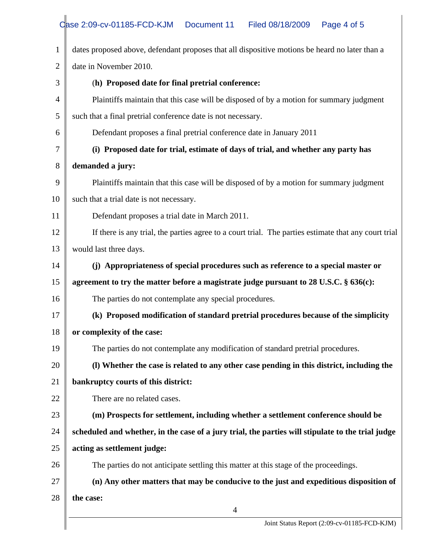| $\mathbf{1}$   | dates proposed above, defendant proposes that all dispositive motions be heard no later than a       |  |  |  |  |
|----------------|------------------------------------------------------------------------------------------------------|--|--|--|--|
| $\overline{2}$ | date in November 2010.                                                                               |  |  |  |  |
| 3              | (h) Proposed date for final pretrial conference:                                                     |  |  |  |  |
| $\overline{4}$ | Plaintiffs maintain that this case will be disposed of by a motion for summary judgment              |  |  |  |  |
| 5              | such that a final pretrial conference date is not necessary.                                         |  |  |  |  |
| 6              | Defendant proposes a final pretrial conference date in January 2011                                  |  |  |  |  |
| 7              | (i) Proposed date for trial, estimate of days of trial, and whether any party has                    |  |  |  |  |
| 8              | demanded a jury:                                                                                     |  |  |  |  |
| 9              | Plaintiffs maintain that this case will be disposed of by a motion for summary judgment              |  |  |  |  |
| 10             | such that a trial date is not necessary.                                                             |  |  |  |  |
| 11             | Defendant proposes a trial date in March 2011.                                                       |  |  |  |  |
| 12             | If there is any trial, the parties agree to a court trial. The parties estimate that any court trial |  |  |  |  |
| 13             | would last three days.                                                                               |  |  |  |  |
| 14             | (j) Appropriateness of special procedures such as reference to a special master or                   |  |  |  |  |
| 15             | agreement to try the matter before a magistrate judge pursuant to $28$ U.S.C. $\S$ 636(c):           |  |  |  |  |
| 16             | The parties do not contemplate any special procedures.                                               |  |  |  |  |
| 17             | (k) Proposed modification of standard pretrial procedures because of the simplicity                  |  |  |  |  |
| 18             | or complexity of the case:                                                                           |  |  |  |  |
| 19             | The parties do not contemplate any modification of standard pretrial procedures.                     |  |  |  |  |
| 20             | (I) Whether the case is related to any other case pending in this district, including the            |  |  |  |  |
| 21             | bankruptcy courts of this district:                                                                  |  |  |  |  |
| 22             | There are no related cases.                                                                          |  |  |  |  |
| 23             | (m) Prospects for settlement, including whether a settlement conference should be                    |  |  |  |  |
| 24             | scheduled and whether, in the case of a jury trial, the parties will stipulate to the trial judge    |  |  |  |  |
| 25             | acting as settlement judge:                                                                          |  |  |  |  |
| 26             | The parties do not anticipate settling this matter at this stage of the proceedings.                 |  |  |  |  |
| 27             | (n) Any other matters that may be conducive to the just and expeditious disposition of               |  |  |  |  |
| 28             | the case:                                                                                            |  |  |  |  |
|                | $\overline{4}$                                                                                       |  |  |  |  |
|                | Joint Status Report (2:09-cv-01185-FCD-KJM)                                                          |  |  |  |  |